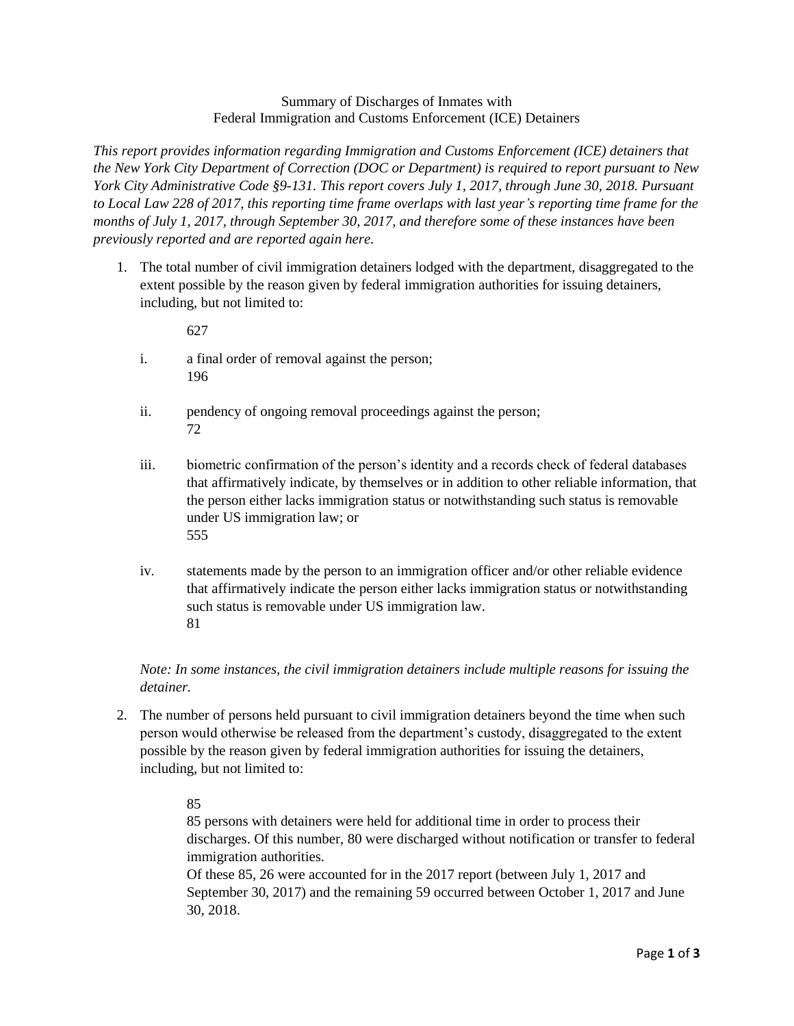## Summary of Discharges of Inmates with Federal Immigration and Customs Enforcement (ICE) Detainers

*This report provides information regarding Immigration and Customs Enforcement (ICE) detainers that the New York City Department of Correction (DOC or Department) is required to report pursuant to New York City Administrative Code §9-131. This report covers July 1, 2017, through June 30, 2018. Pursuant to Local Law 228 of 2017, this reporting time frame overlaps with last year's reporting time frame for the months of July 1, 2017, through September 30, 2017, and therefore some of these instances have been previously reported and are reported again here.*

1. The total number of civil immigration detainers lodged with the department, disaggregated to the extent possible by the reason given by federal immigration authorities for issuing detainers, including, but not limited to:

627

- i. a final order of removal against the person; 196
- ii. pendency of ongoing removal proceedings against the person; 72
- iii. biometric confirmation of the person's identity and a records check of federal databases that affirmatively indicate, by themselves or in addition to other reliable information, that the person either lacks immigration status or notwithstanding such status is removable under US immigration law; or 555
- iv. statements made by the person to an immigration officer and/or other reliable evidence that affirmatively indicate the person either lacks immigration status or notwithstanding such status is removable under US immigration law. 81

*Note: In some instances, the civil immigration detainers include multiple reasons for issuing the detainer.*

2. The number of persons held pursuant to civil immigration detainers beyond the time when such person would otherwise be released from the department's custody, disaggregated to the extent possible by the reason given by federal immigration authorities for issuing the detainers, including, but not limited to:

## 85

85 persons with detainers were held for additional time in order to process their discharges. Of this number, 80 were discharged without notification or transfer to federal immigration authorities.

Of these 85, 26 were accounted for in the 2017 report (between July 1, 2017 and September 30, 2017) and the remaining 59 occurred between October 1, 2017 and June 30, 2018.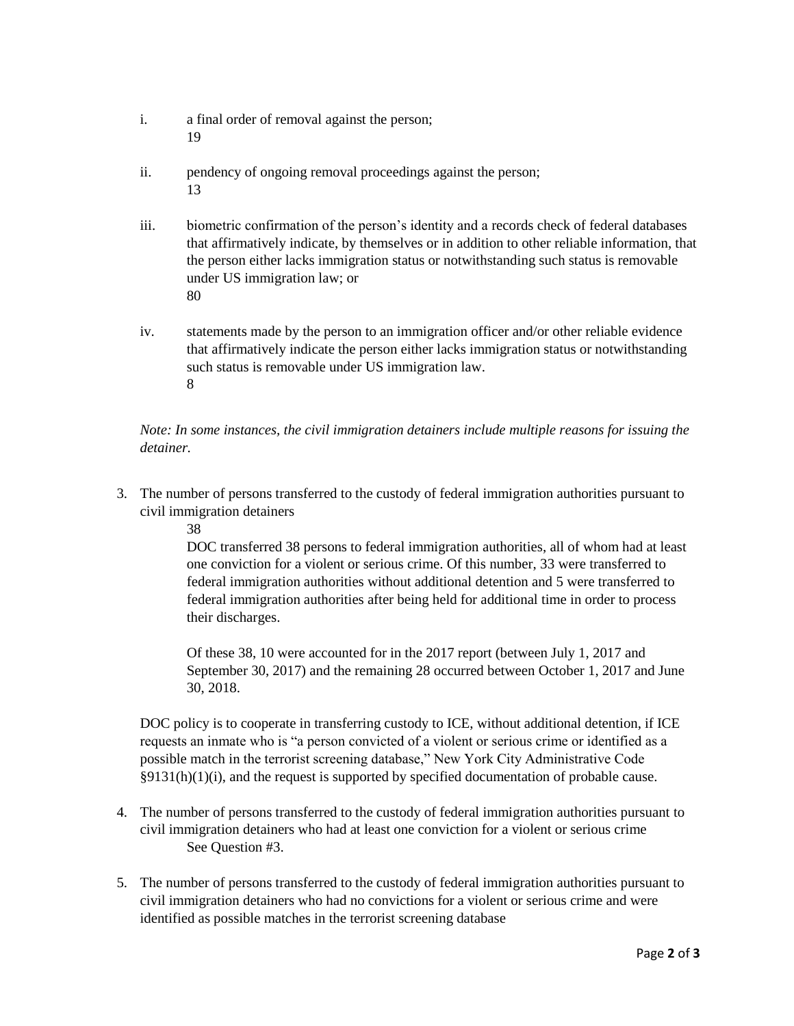- i. a final order of removal against the person; 19
- ii. pendency of ongoing removal proceedings against the person; 13
- iii. biometric confirmation of the person's identity and a records check of federal databases that affirmatively indicate, by themselves or in addition to other reliable information, that the person either lacks immigration status or notwithstanding such status is removable under US immigration law; or 80
- iv. statements made by the person to an immigration officer and/or other reliable evidence that affirmatively indicate the person either lacks immigration status or notwithstanding such status is removable under US immigration law. 8

*Note: In some instances, the civil immigration detainers include multiple reasons for issuing the detainer.*

- 3. The number of persons transferred to the custody of federal immigration authorities pursuant to civil immigration detainers
	- 38

DOC transferred 38 persons to federal immigration authorities, all of whom had at least one conviction for a violent or serious crime. Of this number, 33 were transferred to federal immigration authorities without additional detention and 5 were transferred to federal immigration authorities after being held for additional time in order to process their discharges.

Of these 38, 10 were accounted for in the 2017 report (between July 1, 2017 and September 30, 2017) and the remaining 28 occurred between October 1, 2017 and June 30, 2018.

DOC policy is to cooperate in transferring custody to ICE, without additional detention, if ICE requests an inmate who is "a person convicted of a violent or serious crime or identified as a possible match in the terrorist screening database," New York City Administrative Code §9131(h)(1)(i), and the request is supported by specified documentation of probable cause.

- 4. The number of persons transferred to the custody of federal immigration authorities pursuant to civil immigration detainers who had at least one conviction for a violent or serious crime See Question #3.
- 5. The number of persons transferred to the custody of federal immigration authorities pursuant to civil immigration detainers who had no convictions for a violent or serious crime and were identified as possible matches in the terrorist screening database